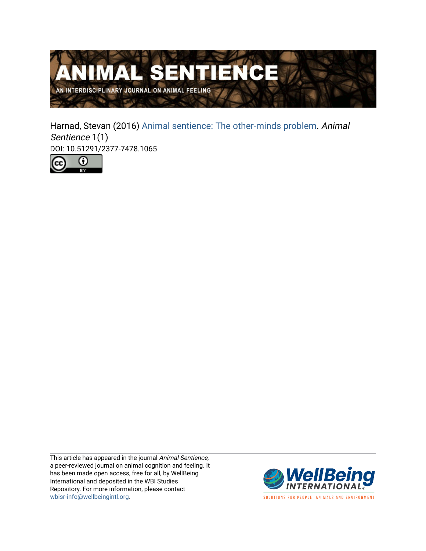

Harnad, Stevan (2016) [Animal sentience: The other-minds problem](https://www.wellbeingintlstudiesrepository.org/animsent/vol1/iss1/1). Animal Sentience 1(1) DOI: 10.51291/2377-7478.1065



This article has appeared in the journal Animal Sentience, a peer-reviewed journal on animal cognition and feeling. It has been made open access, free for all, by WellBeing International and deposited in the WBI Studies Repository. For more information, please contact [wbisr-info@wellbeingintl.org](mailto:wbisr-info@wellbeingintl.org).



SOLUTIONS FOR PEOPLE, ANIMALS AND ENVIRONMENT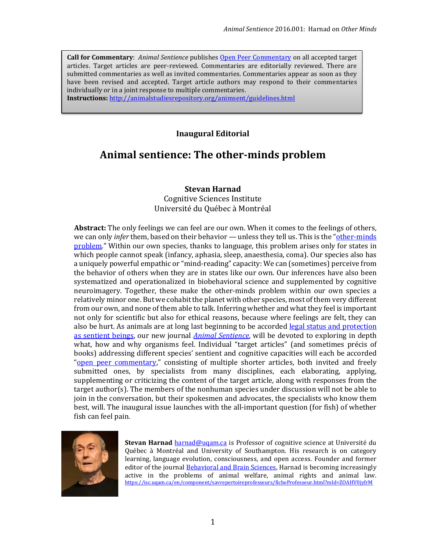**Call for Commentary**: *Animal Sentience* publishe[s Open Peer Commentary](http://users.ecs.soton.ac.uk/harnad/Temp/Kata/bbs.editorial.html) on all accepted target articles. Target articles are peer-reviewed. Commentaries are editorially reviewed. There are submitted commentaries as well as invited commentaries. Commentaries appear as soon as they have been revised and accepted. Target article authors may respond to their commentaries individually or in a joint response to multiple commentaries.

**Instructions:** <http://animalstudiesrepository.org/animsent/guidelines.html>

## **Inaugural Editorial**

# **Animal sentience: The other-minds problem**

### **Stevan Harnad**

Cognitive Sciences Institute Université du Québec à Montréal

**Abstract:** The only feelings we can feel are our own. When it comes to the feelings of others, we can only *infer* them, based on their behavior — unless they tell us. This is the "[other-minds](http://plato.stanford.edu/entries/other-minds/)" [problem](http://plato.stanford.edu/entries/other-minds/)." Within our own species, thanks to language, this problem arises only for states in which people cannot speak (infancy, aphasia, sleep, anaesthesia, coma). Our species also has a uniquely powerful empathic or "mind-reading" capacity: We can (sometimes) perceive from the behavior of others when they are in states like our own. Our inferences have also been systematized and operationalized in biobehavioral science and supplemented by cognitive neuroimagery. Together, these make the other-minds problem within our own species a relatively minor one. But we cohabit the planet with other species, most of them very different from our own, and none of them able to talk. Inferring whether and what they feel is important not only for scientific but also for ethical reasons, because where feelings are felt, they can also be hurt. As animals are at long last beginning to be accorded [legal status and protection](http://www.fil-information.gouv.qc.ca/Pages/Article.aspx?idArticle=2312057700)  [as sentient beings,](http://www.fil-information.gouv.qc.ca/Pages/Article.aspx?idArticle=2312057700) our new journal *[Animal Sentience](http://animalstudiesrepository.org/animsent/)*, will be devoted to exploring in depth what, how and why organisms feel. Individual "target articles" (and sometimes précis of books) addressing different species' sentient and cognitive capacities will each be accorded "[open peer commentary,](http://eprints.soton.ac.uk/260852/)" consisting of multiple shorter articles, both invited and freely submitted ones, by specialists from many disciplines, each elaborating, applying, supplementing or criticizing the content of the target article, along with responses from the target author(s). The members of the nonhuman species under discussion will not be able to join in the conversation, but their spokesmen and advocates, the specialists who know them best, will. The inaugural issue launches with the all-important question (for fish) of whether fish can feel pain.



**Stevan Harnad** harnad@ugam.ca is Professor of cognitive science at Université du Québec à Montréal and University of Southampton. His research is on category learning, language evolution, consciousness, and open access. Founder and former editor of the journal [Behavioral and Brain Sciences,](http://users.ecs.soton.ac.uk/harnad/Temp/bbs.valedict.html) Harnad is becoming increasingly active in the problems of animal welfare, animal rights and animal law. [https://isc.uqam.ca/en/component/savrepertoireprofesseurs/ficheProfesseur.html?mId=ZOAHV0jyfrM](https://isc.uqam.ca/en/component/savrepertoireprofesseurs/ficheProfesseur.html?mId=ZOAHV0jyfrM_)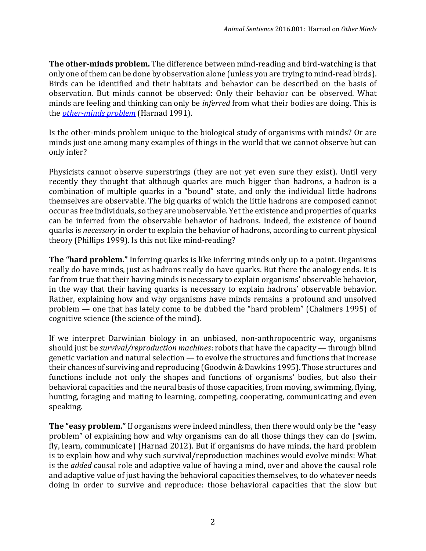**The other-minds problem.** The difference between mind-reading and bird-watching is that only one of them can be done by observation alone (unless you are trying to mind-read birds). Birds can be identified and their habitats and behavior can be described on the basis of observation. But minds cannot be observed: Only their behavior can be observed. What minds are feeling and thinking can only be *inferred* from what their bodies are doing. This is the *[other-minds](http://plato.stanford.edu/entries/other-minds/) problem* (Harnad 1991).

Is the other-minds problem unique to the biological study of organisms with minds? Or are minds just one among many examples of things in the world that we cannot observe but can only infer?

Physicists cannot observe superstrings (they are not yet even sure they exist). Until very recently they thought that although quarks are much bigger than hadrons, a hadron is a combination of multiple quarks in a "bound" state, and only the individual little hadrons themselves are observable. The big quarks of which the little hadrons are composed cannot occur as free individuals, so they are unobservable. Yet the existence and properties of quarks can be inferred from the observable behavior of hadrons. Indeed, the existence of bound quarks is *necessary* in order to explain the behavior of hadrons, according to current physical theory (Phillips 1999). Is this not like mind-reading?

**The "hard problem."** Inferring quarks is like inferring minds only up to a point. Organisms really do have minds, just as hadrons really do have quarks. But there the analogy ends. It is far from true that their having minds is necessary to explain organisms' observable behavior, in the way that their having quarks is necessary to explain hadrons' observable behavior. Rather, explaining how and why organisms have minds remains a profound and unsolved problem — one that has lately come to be dubbed the "hard problem" (Chalmers 1995) of cognitive science (the science of the mind).

If we interpret Darwinian biology in an unbiased, non-anthropocentric way, organisms should just be *survival/reproduction machines*: robots that have the capacity — through blind genetic variation and natural selection — to evolve the structures and functions that increase their chances of surviving and reproducing (Goodwin & Dawkins 1995). Those structures and functions include not only the shapes and functions of organisms' bodies, but also their behavioral capacities and the neural basis of those capacities, from moving, swimming, flying, hunting, foraging and mating to learning, competing, cooperating, communicating and even speaking.

**The "easy problem."** If organisms were indeed mindless, then there would only be the "easy problem" of explaining how and why organisms can do all those things they can do (swim, fly, learn, communicate) (Harnad 2012). But if organisms do have minds, the hard problem is to explain how and why such survival/reproduction machines would evolve minds: What is the *added* causal role and adaptive value of having a mind, over and above the causal role and adaptive value of just having the behavioral capacities themselves, to do whatever needs doing in order to survive and reproduce: those behavioral capacities that the slow but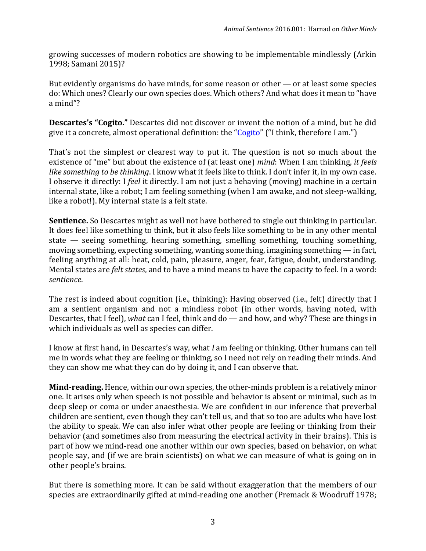growing successes of modern robotics are showing to be implementable mindlessly (Arkin 1998; Samani 2015)?

But evidently organisms do have minds, for some reason or other — or at least some species do: Which ones? Clearly our own species does. Which others? And what does it mean to "have a mind"?

**Descartes's "Cogito."** Descartes did not discover or invent the notion of a mind, but he did give it a concrete, almost operational definition: the "*[Cogito](http://plato.stanford.edu/entries/descartes-epistemology/)"* ("I think, therefore I am.")

That's not the simplest or clearest way to put it. The question is not so much about the existence of "me" but about the existence of (at least one) *mind*: When I am thinking, *it feels like something to be thinking*. I know what it feels like to think. I don't infer it, in my own case. I observe it directly: I *feel* it directly. I am not just a behaving (moving) machine in a certain internal state, like a robot; I am feeling something (when I am awake, and not sleep-walking, like a robot!). My internal state is a felt state.

**Sentience.** So Descartes might as well not have bothered to single out thinking in particular. It does feel like something to think, but it also feels like something to be in any other mental state — seeing something, hearing something, smelling something, touching something, moving something, expecting something, wanting something, imagining something — in fact, feeling anything at all: heat, cold, pain, pleasure, anger, fear, fatigue, doubt, understanding. Mental states are *felt states*, and to have a mind means to have the capacity to feel. In a word: *sentience*.

The rest is indeed about cognition (i.e., thinking): Having observed (i.e., felt) directly that I am a sentient organism and not a mindless robot (in other words, having noted, with Descartes, that I feel), *what* can I feel, think and do — and how, and why? These are things in which individuals as well as species can differ.

I know at first hand, in Descartes's way, what *I* am feeling or thinking. Other humans can tell me in words what they are feeling or thinking, so I need not rely on reading their minds. And they can show me what they can do by doing it, and I can observe that.

**Mind-reading.** Hence, within our own species, the other-minds problem is a relatively minor one. It arises only when speech is not possible and behavior is absent or minimal, such as in deep sleep or coma or under anaesthesia. We are confident in our inference that preverbal children are sentient, even though they can't tell us, and that so too are adults who have lost the ability to speak. We can also infer what other people are feeling or thinking from their behavior (and sometimes also from measuring the electrical activity in their brains). This is part of how we mind-read one another within our own species, based on behavior, on what people say, and (if we are brain scientists) on what we can measure of what is going on in other people's brains.

But there is something more. It can be said without exaggeration that the members of our species are extraordinarily gifted at mind-reading one another (Premack & Woodruff 1978;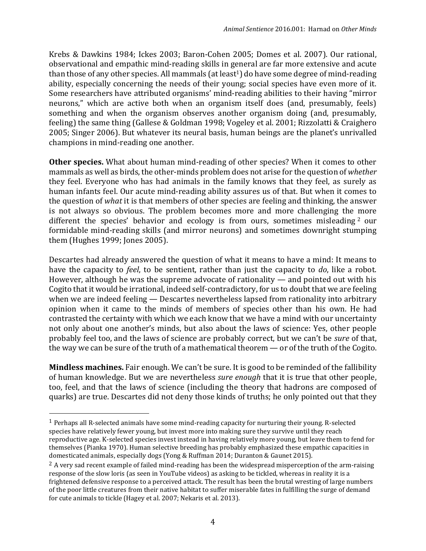Krebs & Dawkins 1984; Ickes 2003; Baron-Cohen 2005; Domes et al. 2007). Our rational, observational and empathic mind-reading skills in general are far more extensive and acute than those of any other species. All mammals (at least<sup>1</sup>) do have some degree of mind-reading ability, especially concerning the needs of their young; social species have even more of it. Some researchers have attributed organisms' mind-reading abilities to their having "mirror neurons," which are active both when an organism itself does (and, presumably, feels) something and when the organism observes another organism doing (and, presumably, feeling) the same thing (Gallese & Goldman 1998; Vogeley et al. 2001; Rizzolatti & Craighero 2005; Singer 2006). But whatever its neural basis, human beings are the planet's unrivalled champions in mind-reading one another.

**Other species.** What about human mind-reading of other species? When it comes to other mammals as well as birds, the other-minds problem does not arise for the question of *whether* they feel. Everyone who has had animals in the family knows that they feel, as surely as human infants feel. Our acute mind-reading ability assures us of that. But when it comes to the question of *what* it is that members of other species are feeling and thinking, the answer is not always so obvious. The problem becomes more and more challenging the more different the species' behavior and ecology is from ours, sometimes misleading<sup>2</sup> our formidable mind-reading skills (and mirror neurons) and sometimes downright stumping them (Hughes 1999; Jones 2005).

Descartes had already answered the question of what it means to have a mind: It means to have the capacity to *feel*, to be sentient, rather than just the capacity to *do*, like a robot. However, although he was the supreme advocate of rationality — and pointed out with his Cogito that it would be irrational, indeed self-contradictory, for us to doubt that we are feeling when we are indeed feeling — Descartes nevertheless lapsed from rationality into arbitrary opinion when it came to the minds of members of species other than his own. He had contrasted the certainty with which we each know that we have a mind with our uncertainty not only about one another's minds, but also about the laws of science: Yes, other people probably feel too, and the laws of science are probably correct, but we can't be *sure* of that, the way we can be sure of the truth of a mathematical theorem — or of the truth of the Cogito.

**Mindless machines.** Fair enough. We can't be sure. It is good to be reminded of the fallibility of human knowledge. But we are nevertheless *sure enough* that it is true that other people, too, feel, and that the laws of science (including the theory that hadrons are composed of quarks) are true. Descartes did not deny those kinds of truths; he only pointed out that they

 $\overline{a}$ 

<sup>1</sup> Perhaps all R-selected animals have some mind-reading capacity for nurturing their young. R-selected species have relatively fewer young, but invest more into making sure they survive until they reach reproductive age. K-selected species invest instead in having relatively more young, but leave them to fend for themselves (Pianka 1970). Human selective breeding has probably emphasized these empathic capacities in domesticated animals, especially dogs (Yong & Ruffman 2014; Duranton & Gaunet 2015).

 $^2$  A very sad recent example of failed mind-reading has been the widespread misperception of the arm-raising response of the slow loris (as seen in YouTube videos) as asking to be tickled, whereas in reality it is a frightened defensive response to a perceived attack. The result has been the brutal wresting of large numbers of the poor little creatures from their native habitat to suffer miserable fates in fulfilling the surge of demand for cute animals to tickle (Hagey et al. 2007; Nekaris et al. 2013).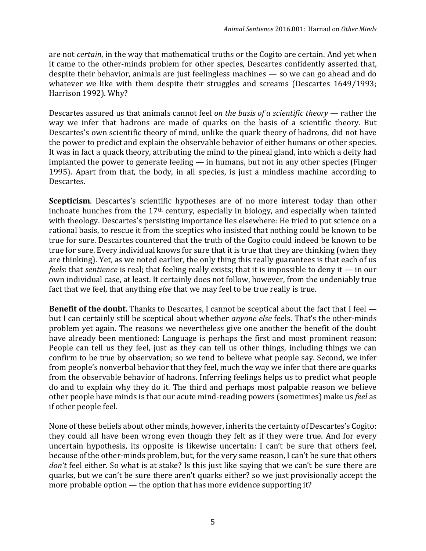are not *certain*, in the way that mathematical truths or the Cogito are certain. And yet when it came to the other-minds problem for other species, Descartes confidently asserted that, despite their behavior, animals are just feelingless machines — so we can go ahead and do whatever we like with them despite their struggles and screams (Descartes 1649/1993; Harrison 1992). Why?

Descartes assured us that animals cannot feel *on the basis of a scientific theory* — rather the way we infer that hadrons are made of quarks on the basis of a scientific theory. But Descartes's own scientific theory of mind, unlike the quark theory of hadrons, did not have the power to predict and explain the observable behavior of either humans or other species. It was in fact a quack theory, attributing the mind to the pineal gland, into which a deity had implanted the power to generate feeling — in humans, but not in any other species (Finger 1995). Apart from that, the body, in all species, is just a mindless machine according to Descartes.

**Scepticism**. Descartes's scientific hypotheses are of no more interest today than other inchoate hunches from the  $17<sup>th</sup>$  century, especially in biology, and especially when tainted with theology. Descartes's persisting importance lies elsewhere: He tried to put science on a rational basis, to rescue it from the sceptics who insisted that nothing could be known to be true for sure. Descartes countered that the truth of the Cogito could indeed be known to be true for sure. Every individual knows for sure that it is true that they are thinking (when they are thinking). Yet, as we noted earlier, the only thing this really guarantees is that each of us *feels*: that *sentience* is real; that feeling really exists; that it is impossible to deny it — in our own individual case, at least. It certainly does not follow, however, from the undeniably true fact that we feel, that anything *else* that we may feel to be true really is true.

**Benefit of the doubt.** Thanks to Descartes, I cannot be sceptical about the fact that I feel but I can certainly still be sceptical about whether *anyone else* feels. That's the other-minds problem yet again. The reasons we nevertheless give one another the benefit of the doubt have already been mentioned: Language is perhaps the first and most prominent reason: People can tell us they feel, just as they can tell us other things, including things we can confirm to be true by observation; so we tend to believe what people say. Second, we infer from people's nonverbal behavior that they feel, much the way we infer that there are quarks from the observable behavior of hadrons. Inferring feelings helps us to predict what people do and to explain why they do it. The third and perhaps most palpable reason we believe other people have minds is that our acute mind-reading powers (sometimes) make us *feel* as if other people feel.

None of these beliefs about other minds, however, inherits the certainty of Descartes's Cogito: they could all have been wrong even though they felt as if they were true. And for every uncertain hypothesis, its opposite is likewise uncertain: I can't be sure that others feel, because of the other-minds problem, but, for the very same reason, I can't be sure that others *don't* feel either. So what is at stake? Is this just like saying that we can't be sure there are quarks, but we can't be sure there aren't quarks either? so we just provisionally accept the more probable option — the option that has more evidence supporting it?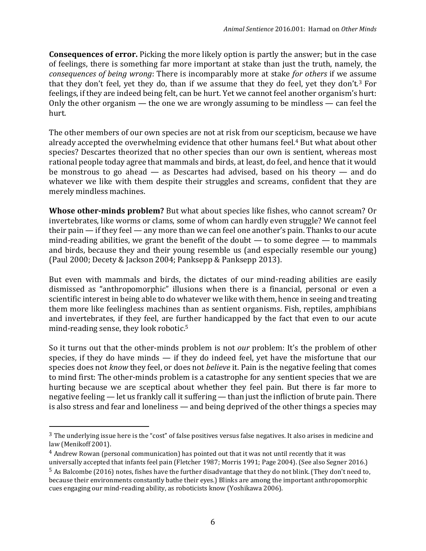**Consequences of error.** Picking the more likely option is partly the answer; but in the case of feelings, there is something far more important at stake than just the truth, namely, the *consequences of being wrong*: There is incomparably more at stake *for others* if we assume that they don't feel, yet they do, than if we assume that they do feel, yet they don't.<sup>3</sup> For feelings, if they are indeed being felt, can be hurt. Yet we cannot feel another organism's hurt: Only the other organism — the one we are wrongly assuming to be mindless — can feel the hurt.

The other members of our own species are not at risk from our scepticism, because we have already accepted the overwhelming evidence that other humans feel.<sup>4</sup> But what about other species? Descartes theorized that no other species than our own is sentient, whereas most rational people today agree that mammals and birds, at least, do feel, and hence that it would be monstrous to go ahead — as Descartes had advised, based on his theory — and do whatever we like with them despite their struggles and screams, confident that they are merely mindless machines.

**Whose other-minds problem?** But what about species like fishes, who cannot scream? Or invertebrates, like worms or clams, some of whom can hardly even struggle? We cannot feel their pain — if they feel — any more than we can feel one another's pain. Thanks to our acute mind-reading abilities, we grant the benefit of the doubt  $-$  to some degree  $-$  to mammals and birds, because they and their young resemble us (and especially resemble our young) (Paul 2000; Decety & Jackson 2004; Panksepp & Panksepp 2013).

But even with mammals and birds, the dictates of our mind-reading abilities are easily dismissed as "anthropomorphic" illusions when there is a financial, personal or even a scientific interest in being able to do whatever we like with them, hence in seeing and treating them more like feelingless machines than as sentient organisms. Fish, reptiles, amphibians and invertebrates, if they feel, are further handicapped by the fact that even to our acute mind-reading sense, they look robotic.<sup>5</sup>

So it turns out that the other-minds problem is not *our* problem: It's the problem of other species, if they do have minds  $-$  if they do indeed feel, yet have the misfortune that our species does not *know* they feel, or does not *believe* it. Pain is the negative feeling that comes to mind first: The other-minds problem is a catastrophe for any sentient species that we are hurting because we are sceptical about whether they feel pain. But there is far more to negative feeling — let us frankly call it suffering — than just the infliction of brute pain. There is also stress and fear and loneliness — and being deprived of the other things a species may

l

<sup>&</sup>lt;sup>3</sup> The underlying issue here is the "cost" of false positives versus false negatives. It also arises in medicine and law (Menikoff 2001).

<sup>4</sup> Andrew Rowan (personal communication) has pointed out that it was not until recently that it was universally accepted that infants feel pain (Fletcher 1987; Morris 1991; Page 2004). (See also Segner 2016.)

<sup>5</sup> As Balcombe (2016) notes, fishes have the further disadvantage that they do not blink. (They don't need to, because their environments constantly bathe their eyes.) Blinks are among the important anthropomorphic cues engaging our mind-reading ability, as roboticists know (Yoshikawa 2006).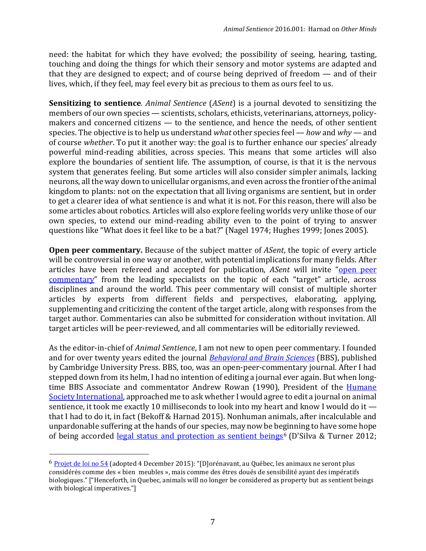need: the habitat for which they have evolved; the possibility of seeing, hearing, tasting, touching and doing the things for which their sensory and motor systems are adapted and that they are designed to expect; and of course being deprived of freedom — and of their lives, which, if they feel, may feel every bit as precious to them as ours feel to us.

**Sensitizing to sentience***. Animal Sentience* (*ASent*) is a journal devoted to sensitizing the members of our own species — scientists, scholars, ethicists, veterinarians, attorneys, policymakers and concerned citizens — to the sentience, and hence the needs, of other sentient species. The objective is to help us understand *what* other species feel — *how* and *why* — and of course *whether*. To put it another way: the goal is to further enhance our species' already powerful mind-reading abilities, across species. This means that some articles will also explore the boundaries of sentient life. The assumption, of course, is that it is the nervous system that generates feeling. But some articles will also consider simpler animals, lacking neurons, all the way down to unicellular organisms, and even across the frontier of the animal kingdom to plants: not on the expectation that all living organisms are sentient, but in order to get a clearer idea of what sentience is and what it is not. For this reason, there will also be some articles about robotics. Articles will also explore feeling worlds very unlike those of our own species, to extend our mind-reading ability even to the point of trying to answer questions like "What does it feel like to be a bat?" (Nagel 1974; Hughes 1999; Jones 2005).

**Open peer commentary.** Because of the subject matter of *ASent*, the topic of every article will be controversial in one way or another, with potential implications for many fields. After articles have been refereed and accepted for publication, *ASent* will invite "[open peer](http://eprints.soton.ac.uk/260852/)  [commentary](http://eprints.soton.ac.uk/260852/)" from the leading specialists on the topic of each "target" article, across disciplines and around the world. This peer commentary will consist of multiple shorter articles by experts from different fields and perspectives, elaborating, applying, supplementing and criticizing the content of the target article, along with responses from the target author. Commentaries can also be submitted for consideration without invitation. All target articles will be peer-reviewed, and all commentaries will be editorially reviewed.

As the editor-in-chief of *Animal Sentience*, I am not new to open peer commentary. I founded and for over twenty years edited the journal *[Behavioral and Brain Sciences](http://users.ecs.soton.ac.uk/harnad/Temp/bbs.valedict.html)* (BBS), published by Cambridge University Press. BBS, too, was an open-peer-commentary journal. After I had stepped down from its helm, I had no intention of editing a journal ever again. But when longtime BBS Associate and commentator Andrew Rowan (1990), President of the [Humane](http://www.hsi.org/about/who_we_are/leadership/senior_executive/andrew_rowan.html)  [Society International,](http://www.hsi.org/about/who_we_are/leadership/senior_executive/andrew_rowan.html) approached me to ask whether I would agree to edit a journal on animal sentience, it took me exactly 10 milliseconds to look into my heart and know I would do it that I had to do it, in fact (Bekoff & Harnad 2015). Nonhuman animals, after incalculable and unpardonable suffering at the hands of our species, may now be beginning to have some hope of being accorded [legal status and protection as sentient beings](http://www.fil-information.gouv.qc.ca/Pages/Article.aspx?idArticle=2312057700)<sup>6</sup> (D'Silva & Turner 2012;

 $\overline{a}$ 

<sup>6</sup> [Projet de loi no 54](http://www.fil-information.gouv.qc.ca/Pages/Article.aspx?idArticle=2312057700) (adopted 4 December 2015): "[D]orénavant, au Québec, les animaux ne seront plus considérés comme des « bien meubles », mais comme des êtres doués de sensibilité ayant des impératifs biologiques." ["Henceforth, in Quebec, animals will no longer be considered as property but as sentient beings with biological imperatives."]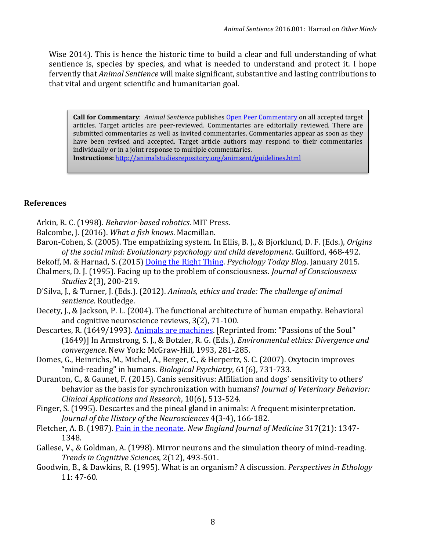Wise 2014). This is hence the historic time to build a clear and full understanding of what sentience is, species by species, and what is needed to understand and protect it. I hope fervently that *Animal Sentience* will make significant, substantive and lasting contributions to that vital and urgent scientific and humanitarian goal.

**Call for Commentary**: *Animal Sentience* publishes [Open Peer Commentary](http://users.ecs.soton.ac.uk/harnad/Temp/Kata/bbs.editorial.html) on all accepted target articles. Target articles are peer-reviewed. Commentaries are editorially reviewed. There are submitted commentaries as well as invited commentaries. Commentaries appear as soon as they have been revised and accepted. Target article authors may respond to their commentaries individually or in a joint response to multiple commentaries. **Instructions:** <http://animalstudiesrepository.org/animsent/guidelines.html>

#### **References**

- Arkin, R. C. (1998). *Behavior-based robotics*. MIT Press.
- Balcombe, J. (2016). *What a fish knows*. Macmillan.
- Baron-Cohen, S. (2005). The empathizing system. In Ellis, B. J., & Bjorklund, D. F. (Eds.), *Origins of the social mind: Evolutionary psychology and child development*. Guilford, 468-492.
- Bekoff, M. & Harnad, S. (2015) [Doing the Right Thing.](https://www.psychologytoday.com/blog/animal-emotions/201501/doing-the-right-thing-interview-stevan-harnad) *Psychology Today Blog*. January 2015.
- Chalmers, D. J. (1995). Facing up to the problem of consciousness. *Journal of Consciousness Studies* 2(3), 200-219.
- D'Silva, J., & Turner, J. (Eds.). (2012). *Animals, ethics and trade: The challenge of animal sentience.* Routledge.
- Decety, J., & Jackson, P. L. (2004). The functional architecture of human empathy. Behavioral and cognitive neuroscience reviews, 3(2), 71-100.
- Descartes, R. (1649/1993). [Animals are machines.](http://www.redwoods.edu/instruct/jjohnston/Philosophy20/Readings/Issues/DescartesAnimalsareMachines.pdf) [Reprinted from: "Passions of the Soul" (1649)] In Armstrong, S. J., & Botzler, R. G. (Eds.), *Environmental ethics: Divergence and convergence*. New York: McGraw-Hill, 1993, 281-285.
- Domes, G., Heinrichs, M., Michel, A., Berger, C., & Herpertz, S. C. (2007). Oxytocin improves "mind-reading" in humans. *Biological Psychiatry*, 61(6), 731-733.
- Duranton, C., & Gaunet, F. (2015). Canis sensitivus: Affiliation and dogs' sensitivity to others' behavior as the basis for synchronization with humans? *Journal of Veterinary Behavior: Clinical Applications and Research*, 10(6), 513-524.
- Finger, S. (1995). Descartes and the pineal gland in animals: A frequent misinterpretation. *Journal of the History of the Neurosciences* 4(3-4), 166-182.
- Fletcher, A. B. (1987). [Pain in the neonate.](http://www.cirp.org/library/pain/fletcher/) *New England Journal of Medicine* 317(21): 1347- 1348.
- Gallese, V., & Goldman, A. (1998). Mirror neurons and the simulation theory of mind-reading. *Trends in Cognitive Sciences*, 2(12), 493-501.
- Goodwin, B., & Dawkins, R. (1995). What is an organism? A discussion. *Perspectives in Ethology* 11: 47-60.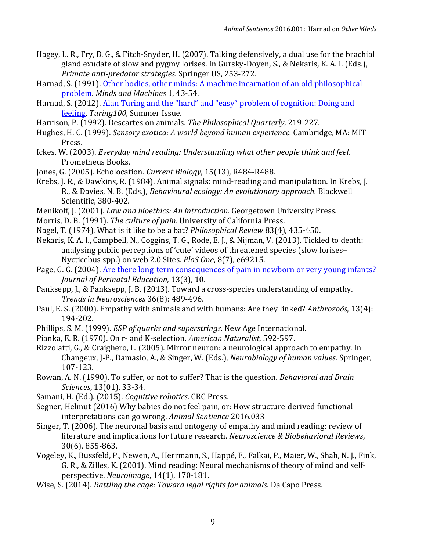- Hagey, L. R., Fry, B. G., & Fitch-Snyder, H. (2007). Talking defensively, a dual use for the brachial gland exudate of slow and pygmy lorises. In Gursky-Doyen, S., & Nekaris, K. A. I. (Eds.), *Primate anti-predator strategies*. Springer US, 253-272.
- Harnad, S. (1991). Other bodies, other minds: A machine incarnation of an old philosophical [problem.](http://eprints.soton.ac.uk/253379/) *Minds and Machines* 1, 43-54.
- Harnad, S. (2012). Alan Turing and the "hard" and "easy" problem of cognition: Doing and [feeling.](http://eprints.soton.ac.uk/340293/) *Turing100*, Summer Issue.
- Harrison, P. (1992). Descartes on animals. *The Philosophical Quarterly,* 219-227.
- Hughes, H. C. (1999). *Sensory exotica: A world beyond human experience.* Cambridge, MA: MIT Press.
- Ickes, W. (2003). *Everyday mind reading: Understanding what other people think and feel*. Prometheus Books.
- Jones, G. (2005). Echolocation. *Current Biology*, 15(13), R484-R488.
- Krebs, J. R., & Dawkins, R. (1984). Animal signals: mind-reading and manipulation. In Krebs, J. R., & Davies, N. B. (Eds.), *Behavioural ecology: An evolutionary approach.* Blackwell Scientific, 380-402.
- Menikoff, J. (2001). *Law and bioethics: An introduction*. Georgetown University Press.
- Morris, D. B. (1991). *The culture of pain*. University of California Press.
- Nagel, T. (1974). What is it like to be a bat? *Philosophical Review* 83(4), 435-450.
- Nekaris, K. A. I., Campbell, N., Coggins, T. G., Rode, E. J., & Nijman, V. (2013). Tickled to death: analysing public perceptions of 'cute' videos of threatened species (slow lorises– Nycticebus spp.) on web 2.0 Sites. *PloS One*, 8(7), e69215.
- Page, G. G. (2004). [Are there long-term consequences of pain in newborn or very young infants?](http://www.ncbi.nlm.nih.gov/pmc/articles/PMC1595204/) *Journal of Perinatal Education*, 13(3), 10.
- Panksepp, J., & Panksepp, J. B. (2013). Toward a cross-species understanding of empathy. *Trends in Neurosciences* 36(8): 489-496.
- Paul, E. S. (2000). Empathy with animals and with humans: Are they linked? *Anthrozoös*, 13(4): 194-202.
- Phillips, S. M. (1999). *ESP of quarks and superstrings*. New Age International.
- Pianka, E. R. (1970). On r- and K-selection. *American Naturalist*, 592-597.
- Rizzolatti, G., & Craighero, L. (2005). Mirror neuron: a neurological approach to empathy. In Changeux, J-P., Damasio, A., & Singer, W. (Eds.), *Neurobiology of human values*. Springer, 107-123.
- Rowan, A. N. (1990). To suffer, or not to suffer? That is the question. *Behavioral and Brain Sciences*, 13(01), 33-34.
- Samani, H. (Ed.). (2015). *Cognitive robotics*. CRC Press.
- Segner, Helmut (2016) Why babies do not feel pain, or: How structure-derived functional interpretations can go wrong. *Animal Sentience* 2016.033
- Singer, T. (2006). The neuronal basis and ontogeny of empathy and mind reading: review of literature and implications for future research. *Neuroscience & Biobehavioral Reviews*, 30(6), 855-863.
- Vogeley, K., Bussfeld, P., Newen, A., Herrmann, S., Happé, F., Falkai, P., Maier, W., Shah, N. J., Fink, G. R., & Zilles, K. (2001). Mind reading: Neural mechanisms of theory of mind and selfperspective. *Neuroimage*, 14(1), 170-181.
- Wise, S. (2014). *Rattling the cage: Toward legal rights for animals.* Da Capo Press.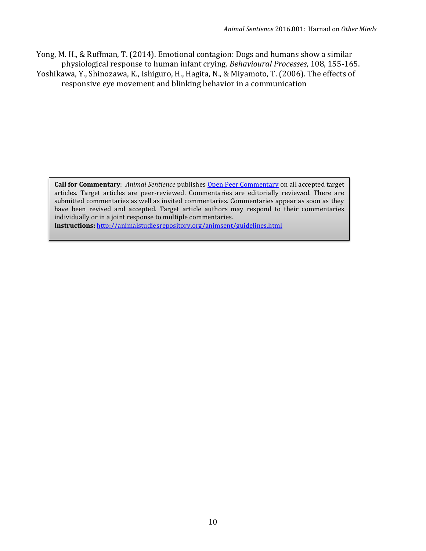Yong, M. H., & Ruffman, T. (2014). Emotional contagion: Dogs and humans show a similar physiological response to human infant crying. *Behavioural Processes*, 108, 155-165. Yoshikawa, Y., Shinozawa, K., Ishiguro, H., Hagita, N., & Miyamoto, T. (2006). The effects of responsive eye movement and blinking behavior in a communication

**Call for Commentary**: *Animal Sentience* publishes [Open Peer Commentary](http://users.ecs.soton.ac.uk/harnad/Temp/Kata/bbs.editorial.html) on all accepted target articles. Target articles are peer-reviewed. Commentaries are editorially reviewed. There are submitted commentaries as well as invited commentaries. Commentaries appear as soon as they have been revised and accepted. Target article authors may respond to their commentaries individually or in a joint response to multiple commentaries. **Instructions:** <http://animalstudiesrepository.org/animsent/guidelines.html>